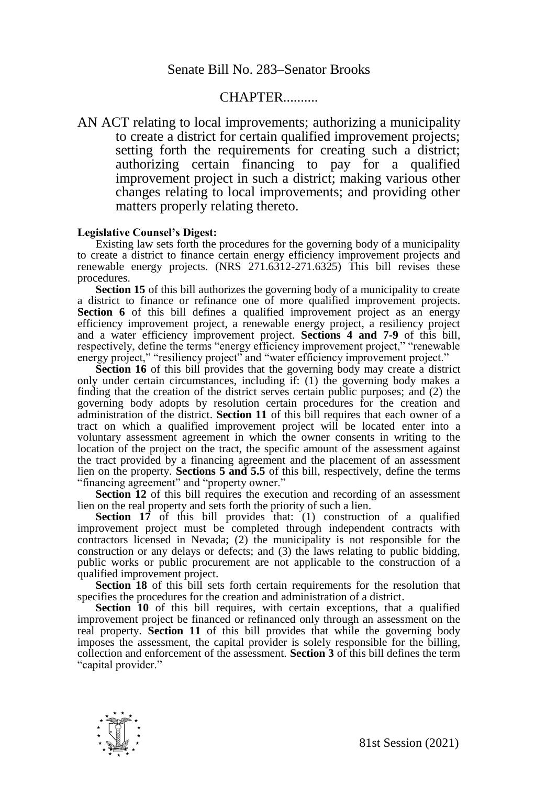## **CHAPTER**

AN ACT relating to local improvements; authorizing a municipality to create a district for certain qualified improvement projects; setting forth the requirements for creating such a district; authorizing certain financing to pay for a qualified improvement project in such a district; making various other changes relating to local improvements; and providing other matters properly relating thereto.

## **Legislative Counsel's Digest:**

Existing law sets forth the procedures for the governing body of a municipality to create a district to finance certain energy efficiency improvement projects and renewable energy projects. (NRS 271.6312-271.6325) This bill revises these procedures.

**Section 15** of this bill authorizes the governing body of a municipality to create a district to finance or refinance one of more qualified improvement projects. **Section 6** of this bill defines a qualified improvement project as an energy efficiency improvement project, a renewable energy project, a resiliency project and a water efficiency improvement project. **Sections 4 and 7-9** of this bill, respectively, define the terms "energy efficiency improvement project," "renewable energy project," "resiliency project" and "water efficiency improvement project."

**Section 16** of this bill provides that the governing body may create a district only under certain circumstances, including if: (1) the governing body makes a finding that the creation of the district serves certain public purposes; and (2) the governing body adopts by resolution certain procedures for the creation and administration of the district. **Section 11** of this bill requires that each owner of a tract on which a qualified improvement project will be located enter into a voluntary assessment agreement in which the owner consents in writing to the location of the project on the tract, the specific amount of the assessment against the tract provided by a financing agreement and the placement of an assessment lien on the property. **Sections 5 and 5.5** of this bill, respectively, define the terms "financing agreement" and "property owner."

Section 12 of this bill requires the execution and recording of an assessment lien on the real property and sets forth the priority of such a lien.

**Section 17** of this bill provides that: (1) construction of a qualified improvement project must be completed through independent contracts with contractors licensed in Nevada; (2) the municipality is not responsible for the construction or any delays or defects; and (3) the laws relating to public bidding, public works or public procurement are not applicable to the construction of a qualified improvement project.

**Section 18** of this bill sets forth certain requirements for the resolution that specifies the procedures for the creation and administration of a district.

**Section 10** of this bill requires, with certain exceptions, that a qualified improvement project be financed or refinanced only through an assessment on the real property. **Section 11** of this bill provides that while the governing body imposes the assessment, the capital provider is solely responsible for the billing, collection and enforcement of the assessment. **Section 3** of this bill defines the term "capital provider."

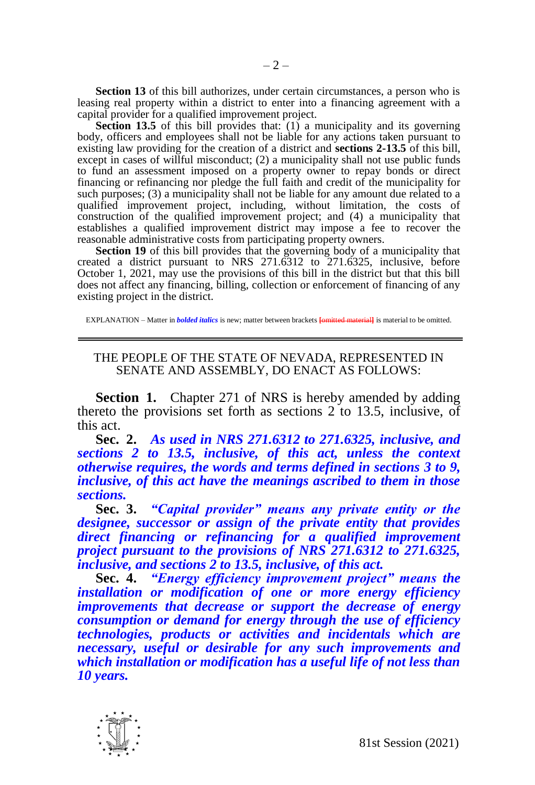**Section 13** of this bill authorizes, under certain circumstances, a person who is leasing real property within a district to enter into a financing agreement with a capital provider for a qualified improvement project.

**Section 13.5** of this bill provides that: (1) a municipality and its governing body, officers and employees shall not be liable for any actions taken pursuant to existing law providing for the creation of a district and **sections 2-13.5** of this bill, except in cases of willful misconduct; (2) a municipality shall not use public funds to fund an assessment imposed on a property owner to repay bonds or direct financing or refinancing nor pledge the full faith and credit of the municipality for such purposes; (3) a municipality shall not be liable for any amount due related to a qualified improvement project, including, without limitation, the costs of construction of the qualified improvement project; and (4) a municipality that establishes a qualified improvement district may impose a fee to recover the reasonable administrative costs from participating property owners.

**Section 19** of this bill provides that the governing body of a municipality that created a district pursuant to NRS 271.6312 to 271.6325, inclusive, before October 1, 2021, may use the provisions of this bill in the district but that this bill does not affect any financing, billing, collection or enforcement of financing of any existing project in the district.

EXPLANATION – Matter in *bolded italics* is new; matter between brackets **[**omitted material**]** is material to be omitted.

## THE PEOPLE OF THE STATE OF NEVADA, REPRESENTED IN SENATE AND ASSEMBLY, DO ENACT AS FOLLOWS:

**Section 1.** Chapter 271 of NRS is hereby amended by adding thereto the provisions set forth as sections 2 to 13.5, inclusive, of this act.

**Sec. 2.** *As used in NRS 271.6312 to 271.6325, inclusive, and sections 2 to 13.5, inclusive, of this act, unless the context otherwise requires, the words and terms defined in sections 3 to 9, inclusive, of this act have the meanings ascribed to them in those sections.*

**Sec. 3.** *"Capital provider" means any private entity or the designee, successor or assign of the private entity that provides direct financing or refinancing for a qualified improvement project pursuant to the provisions of NRS 271.6312 to 271.6325, inclusive, and sections 2 to 13.5, inclusive, of this act.*

**Sec. 4.** *"Energy efficiency improvement project" means the installation or modification of one or more energy efficiency improvements that decrease or support the decrease of energy consumption or demand for energy through the use of efficiency technologies, products or activities and incidentals which are necessary, useful or desirable for any such improvements and which installation or modification has a useful life of not less than 10 years.*

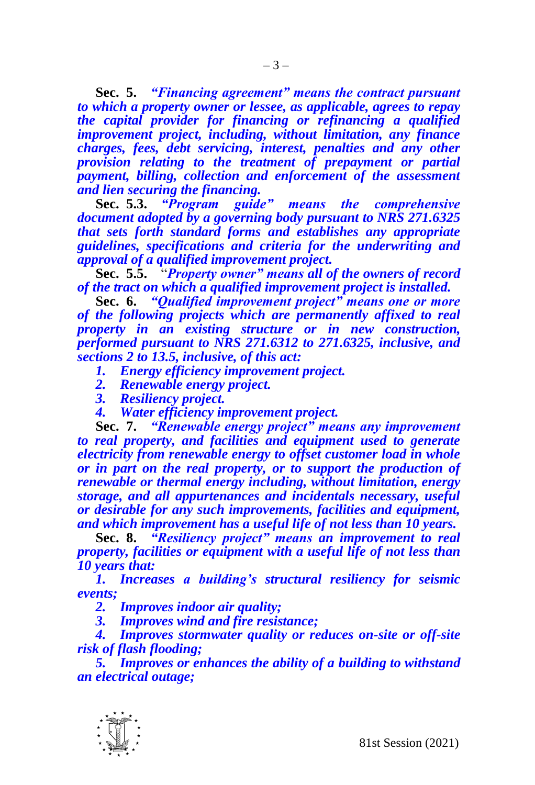**Sec. 5.** *"Financing agreement" means the contract pursuant to which a property owner or lessee, as applicable, agrees to repay the capital provider for financing or refinancing a qualified improvement project, including, without limitation, any finance charges, fees, debt servicing, interest, penalties and any other provision relating to the treatment of prepayment or partial payment, billing, collection and enforcement of the assessment and lien securing the financing.*

**Sec. 5.3.** *"Program guide" means the comprehensive document adopted by a governing body pursuant to NRS 271.6325 that sets forth standard forms and establishes any appropriate guidelines, specifications and criteria for the underwriting and approval of a qualified improvement project.*

**Sec. 5.5.** "*Property owner" means all of the owners of record of the tract on which a qualified improvement project is installed.*

**Sec. 6.** *"Qualified improvement project" means one or more of the following projects which are permanently affixed to real property in an existing structure or in new construction, performed pursuant to NRS 271.6312 to 271.6325, inclusive, and sections 2 to 13.5, inclusive, of this act:*

*1. Energy efficiency improvement project.*

- *2. Renewable energy project.*
- *3. Resiliency project.*
- *4. Water efficiency improvement project.*

**Sec. 7.** *"Renewable energy project" means any improvement to real property, and facilities and equipment used to generate electricity from renewable energy to offset customer load in whole or in part on the real property, or to support the production of renewable or thermal energy including, without limitation, energy storage, and all appurtenances and incidentals necessary, useful or desirable for any such improvements, facilities and equipment, and which improvement has a useful life of not less than 10 years.*

**Sec. 8.** *"Resiliency project" means an improvement to real property, facilities or equipment with a useful life of not less than 10 years that:* 

*1. Increases a building's structural resiliency for seismic events;*

*2. Improves indoor air quality;*

*3. Improves wind and fire resistance;*

*4. Improves stormwater quality or reduces on-site or off-site risk of flash flooding;*

*5. Improves or enhances the ability of a building to withstand an electrical outage;*

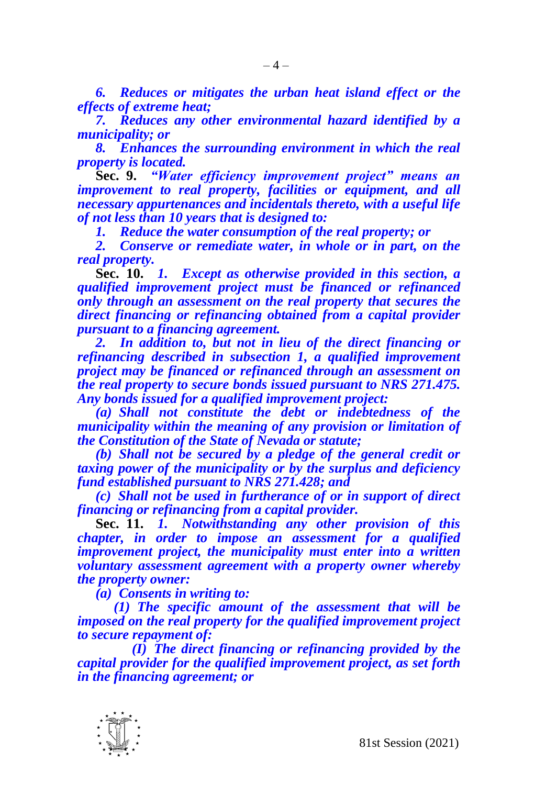*6. Reduces or mitigates the urban heat island effect or the effects of extreme heat;*

*7. Reduces any other environmental hazard identified by a municipality; or* 

*8. Enhances the surrounding environment in which the real property is located.*

**Sec. 9.** *"Water efficiency improvement project" means an improvement to real property, facilities or equipment, and all necessary appurtenances and incidentals thereto, with a useful life of not less than 10 years that is designed to:*

*1. Reduce the water consumption of the real property; or* 

*2. Conserve or remediate water, in whole or in part, on the real property.* 

**Sec. 10.** *1. Except as otherwise provided in this section, a qualified improvement project must be financed or refinanced only through an assessment on the real property that secures the direct financing or refinancing obtained from a capital provider pursuant to a financing agreement.*

*2. In addition to, but not in lieu of the direct financing or refinancing described in subsection 1, a qualified improvement project may be financed or refinanced through an assessment on the real property to secure bonds issued pursuant to NRS 271.475. Any bonds issued for a qualified improvement project:*

*(a) Shall not constitute the debt or indebtedness of the municipality within the meaning of any provision or limitation of the Constitution of the State of Nevada or statute;* 

*(b) Shall not be secured by a pledge of the general credit or taxing power of the municipality or by the surplus and deficiency fund established pursuant to NRS 271.428; and*

*(c) Shall not be used in furtherance of or in support of direct financing or refinancing from a capital provider.*

**Sec. 11.** *1. Notwithstanding any other provision of this chapter, in order to impose an assessment for a qualified improvement project, the municipality must enter into a written voluntary assessment agreement with a property owner whereby the property owner:*

*(a) Consents in writing to:*

*(1) The specific amount of the assessment that will be imposed on the real property for the qualified improvement project to secure repayment of:*

*(I) The direct financing or refinancing provided by the capital provider for the qualified improvement project, as set forth in the financing agreement; or*

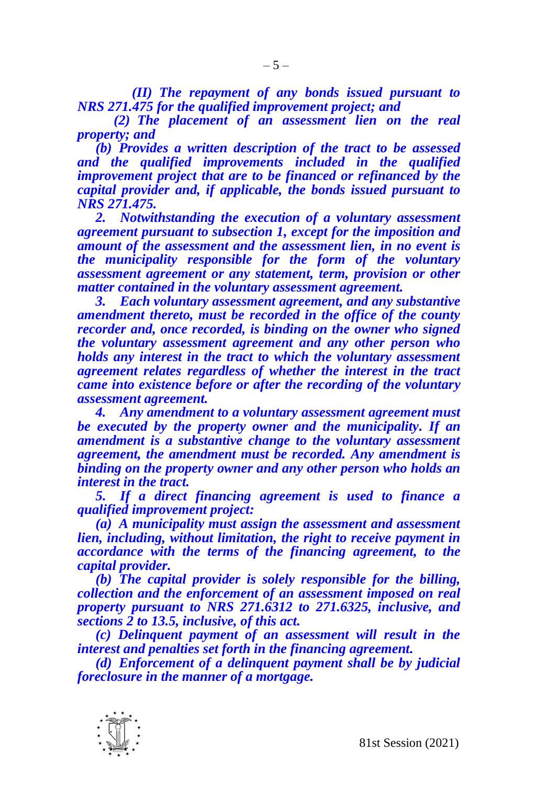*(II) The repayment of any bonds issued pursuant to NRS 271.475 for the qualified improvement project; and*

*(2) The placement of an assessment lien on the real property; and*

*(b) Provides a written description of the tract to be assessed and the qualified improvements included in the qualified improvement project that are to be financed or refinanced by the capital provider and, if applicable, the bonds issued pursuant to NRS 271.475.*

*2. Notwithstanding the execution of a voluntary assessment agreement pursuant to subsection 1, except for the imposition and amount of the assessment and the assessment lien, in no event is the municipality responsible for the form of the voluntary assessment agreement or any statement, term, provision or other matter contained in the voluntary assessment agreement.*

*3. Each voluntary assessment agreement, and any substantive amendment thereto, must be recorded in the office of the county recorder and, once recorded, is binding on the owner who signed the voluntary assessment agreement and any other person who holds any interest in the tract to which the voluntary assessment agreement relates regardless of whether the interest in the tract came into existence before or after the recording of the voluntary assessment agreement.* 

*4. Any amendment to a voluntary assessment agreement must be executed by the property owner and the municipality. If an amendment is a substantive change to the voluntary assessment agreement, the amendment must be recorded. Any amendment is binding on the property owner and any other person who holds an interest in the tract.*

*5. If a direct financing agreement is used to finance a qualified improvement project:*

*(a) A municipality must assign the assessment and assessment lien, including, without limitation, the right to receive payment in accordance with the terms of the financing agreement, to the capital provider.* 

*(b) The capital provider is solely responsible for the billing, collection and the enforcement of an assessment imposed on real property pursuant to NRS 271.6312 to 271.6325, inclusive, and sections 2 to 13.5, inclusive, of this act.*

*(c) Delinquent payment of an assessment will result in the interest and penalties set forth in the financing agreement.*

*(d) Enforcement of a delinquent payment shall be by judicial foreclosure in the manner of a mortgage.* 

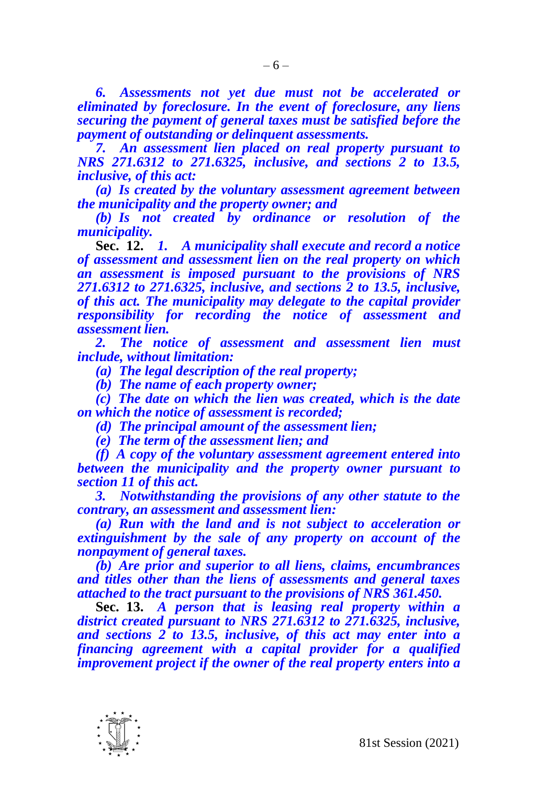*6. Assessments not yet due must not be accelerated or eliminated by foreclosure. In the event of foreclosure, any liens securing the payment of general taxes must be satisfied before the payment of outstanding or delinquent assessments.*

*7. An assessment lien placed on real property pursuant to NRS 271.6312 to 271.6325, inclusive, and sections 2 to 13.5, inclusive, of this act:*

*(a) Is created by the voluntary assessment agreement between the municipality and the property owner; and*

*(b) Is not created by ordinance or resolution of the municipality.*

**Sec. 12.** *1. A municipality shall execute and record a notice of assessment and assessment lien on the real property on which an assessment is imposed pursuant to the provisions of NRS 271.6312 to 271.6325, inclusive, and sections 2 to 13.5, inclusive, of this act. The municipality may delegate to the capital provider responsibility for recording the notice of assessment and assessment lien.* 

*2. The notice of assessment and assessment lien must include, without limitation:*

*(a) The legal description of the real property;*

*(b) The name of each property owner;*

*(c) The date on which the lien was created, which is the date on which the notice of assessment is recorded;* 

*(d) The principal amount of the assessment lien;*

*(e) The term of the assessment lien; and*

*(f) A copy of the voluntary assessment agreement entered into between the municipality and the property owner pursuant to section 11 of this act.*

*3. Notwithstanding the provisions of any other statute to the contrary, an assessment and assessment lien:*

*(a) Run with the land and is not subject to acceleration or extinguishment by the sale of any property on account of the nonpayment of general taxes.*

*(b) Are prior and superior to all liens, claims, encumbrances and titles other than the liens of assessments and general taxes attached to the tract pursuant to the provisions of NRS 361.450.*

**Sec. 13.** *A person that is leasing real property within a district created pursuant to NRS 271.6312 to 271.6325, inclusive, and sections 2 to 13.5, inclusive, of this act may enter into a financing agreement with a capital provider for a qualified improvement project if the owner of the real property enters into a* 

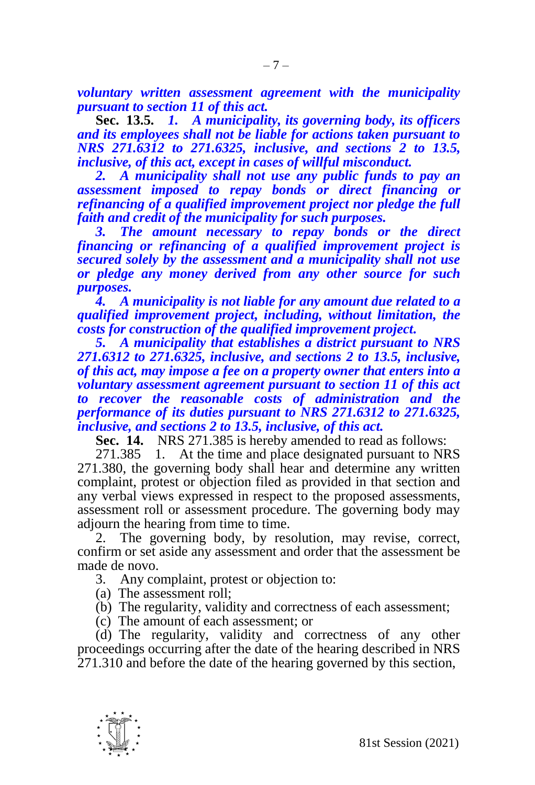*voluntary written assessment agreement with the municipality pursuant to section 11 of this act.*

**Sec. 13.5.** *1. A municipality, its governing body, its officers and its employees shall not be liable for actions taken pursuant to NRS 271.6312 to 271.6325, inclusive, and sections 2 to 13.5, inclusive, of this act, except in cases of willful misconduct.*

*2. A municipality shall not use any public funds to pay an assessment imposed to repay bonds or direct financing or refinancing of a qualified improvement project nor pledge the full faith and credit of the municipality for such purposes.*

*3. The amount necessary to repay bonds or the direct financing or refinancing of a qualified improvement project is secured solely by the assessment and a municipality shall not use or pledge any money derived from any other source for such purposes.* 

*4. A municipality is not liable for any amount due related to a qualified improvement project, including, without limitation, the costs for construction of the qualified improvement project.* 

*5. A municipality that establishes a district pursuant to NRS 271.6312 to 271.6325, inclusive, and sections 2 to 13.5, inclusive, of this act, may impose a fee on a property owner that enters into a voluntary assessment agreement pursuant to section 11 of this act to recover the reasonable costs of administration and the performance of its duties pursuant to NRS 271.6312 to 271.6325, inclusive, and sections 2 to 13.5, inclusive, of this act.*

**Sec. 14.** NRS 271.385 is hereby amended to read as follows:

271.385 1. At the time and place designated pursuant to NRS 271.380, the governing body shall hear and determine any written complaint, protest or objection filed as provided in that section and any verbal views expressed in respect to the proposed assessments, assessment roll or assessment procedure. The governing body may adjourn the hearing from time to time.

2. The governing body, by resolution, may revise, correct, confirm or set aside any assessment and order that the assessment be made de novo.

3. Any complaint, protest or objection to:

(a) The assessment roll;

(b) The regularity, validity and correctness of each assessment;

(c) The amount of each assessment; or

(d) The regularity, validity and correctness of any other proceedings occurring after the date of the hearing described in NRS 271.310 and before the date of the hearing governed by this section,

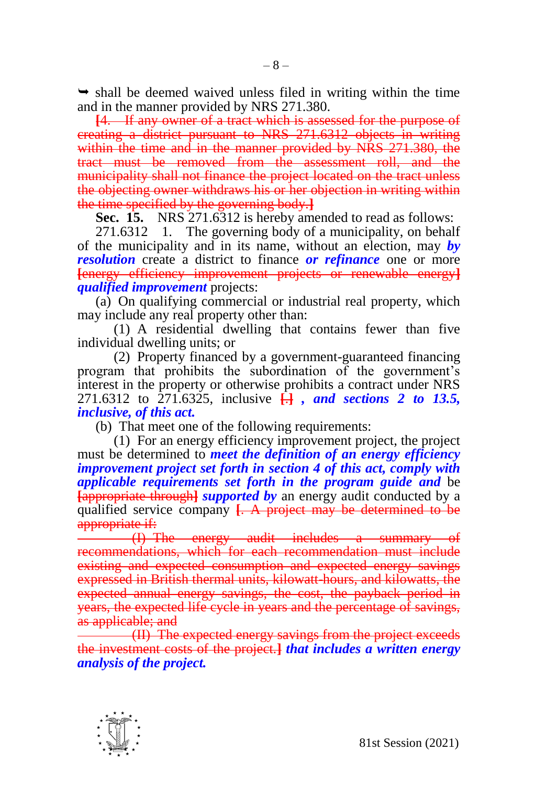$\rightarrow$  shall be deemed waived unless filed in writing within the time and in the manner provided by NRS 271.380.

**[**4. If any owner of a tract which is assessed for the purpose of creating a district pursuant to NRS 271.6312 objects in writing within the time and in the manner provided by NRS 271.380, the tract must be removed from the assessment roll, and the municipality shall not finance the project located on the tract unless the objecting owner withdraws his or her objection in writing within the time specified by the governing body.**]**

**Sec. 15.** NRS 271.6312 is hereby amended to read as follows:

271.6312 1. The governing body of a municipality, on behalf of the municipality and in its name, without an election, may *by resolution* create a district to finance *or refinance* one or more **[**energy efficiency improvement projects or renewable energy**]** *qualified improvement* projects:

(a) On qualifying commercial or industrial real property, which may include any real property other than:

(1) A residential dwelling that contains fewer than five individual dwelling units; or

(2) Property financed by a government-guaranteed financing program that prohibits the subordination of the government's interest in the property or otherwise prohibits a contract under NRS 271.6312 to 271.6325, inclusive **[**.**]** *, and sections 2 to 13.5, inclusive, of this act.*

(b) That meet one of the following requirements:

(1) For an energy efficiency improvement project, the project must be determined to *meet the definition of an energy efficiency improvement project set forth in section 4 of this act, comply with applicable requirements set forth in the program guide and* be **Example 1 Example 1** *supported by an energy audit conducted by a* qualified service company **[**. A project may be determined to be appropriate if:

(I) The energy audit includes a summary of recommendations, which for each recommendation must include existing and expected consumption and expected energy savings expressed in British thermal units, kilowatt-hours, and kilowatts, the expected annual energy savings, the cost, the payback period in years, the expected life cycle in years and the percentage of savings, as applicable; and

(II) The expected energy savings from the project exceeds the investment costs of the project.**]** *that includes a written energy analysis of the project.*

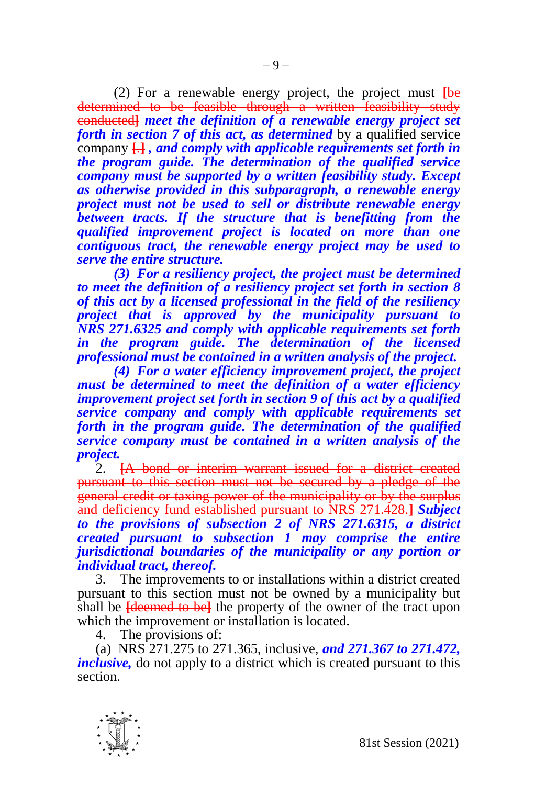(2) For a renewable energy project, the project must **[**be determined to be feasible through a written feasibility study conducted**]** *meet the definition of a renewable energy project set forth in section 7 of this act, as determined* by a qualified service company **[**.**]** *, and comply with applicable requirements set forth in the program guide. The determination of the qualified service company must be supported by a written feasibility study. Except as otherwise provided in this subparagraph, a renewable energy project must not be used to sell or distribute renewable energy between tracts. If the structure that is benefitting from the qualified improvement project is located on more than one contiguous tract, the renewable energy project may be used to serve the entire structure.*

*(3) For a resiliency project, the project must be determined to meet the definition of a resiliency project set forth in section 8 of this act by a licensed professional in the field of the resiliency project that is approved by the municipality pursuant to NRS 271.6325 and comply with applicable requirements set forth in the program guide. The determination of the licensed professional must be contained in a written analysis of the project.*

*(4) For a water efficiency improvement project, the project must be determined to meet the definition of a water efficiency improvement project set forth in section 9 of this act by a qualified service company and comply with applicable requirements set forth in the program guide. The determination of the qualified service company must be contained in a written analysis of the project.* 

2. **[**A bond or interim warrant issued for a district created pursuant to this section must not be secured by a pledge of the general credit or taxing power of the municipality or by the surplus and deficiency fund established pursuant to NRS 271.428.**]** *Subject to the provisions of subsection 2 of NRS 271.6315, a district created pursuant to subsection 1 may comprise the entire jurisdictional boundaries of the municipality or any portion or individual tract, thereof.* 

3. The improvements to or installations within a district created pursuant to this section must not be owned by a municipality but shall be **[**deemed to be**]** the property of the owner of the tract upon which the improvement or installation is located.

4. The provisions of:

(a) NRS 271.275 to 271.365, inclusive, *and 271.367 to 271.472, inclusive,* do not apply to a district which is created pursuant to this section.

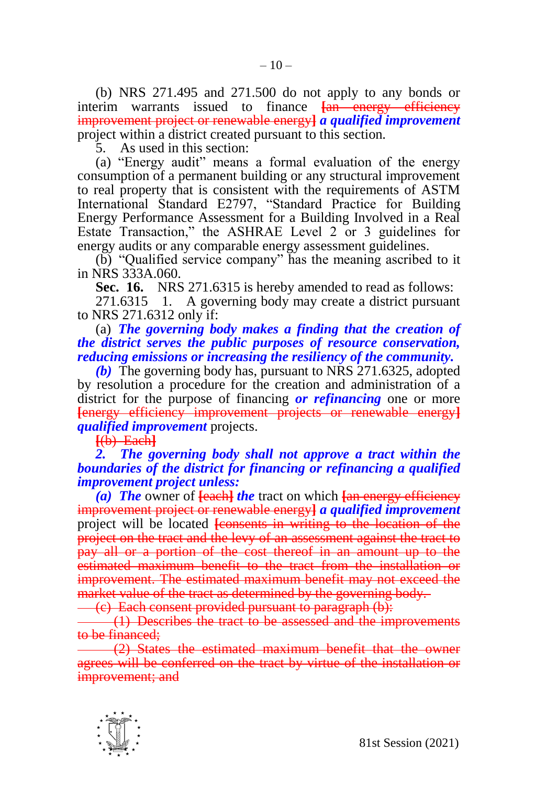(b) NRS 271.495 and 271.500 do not apply to any bonds or interim warrants issued to finance **[**an energy efficiency improvement project or renewable energy**]** *a qualified improvement*  project within a district created pursuant to this section.

5. As used in this section:

(a) "Energy audit" means a formal evaluation of the energy consumption of a permanent building or any structural improvement to real property that is consistent with the requirements of ASTM International Standard E2797, "Standard Practice for Building Energy Performance Assessment for a Building Involved in a Real Estate Transaction," the ASHRAE Level 2 or 3 guidelines for energy audits or any comparable energy assessment guidelines.

(b) "Qualified service company" has the meaning ascribed to it in NRS 333A.060.

**Sec. 16.** NRS 271.6315 is hereby amended to read as follows:

271.6315 1. A governing body may create a district pursuant to NRS 271.6312 only if:

(a) *The governing body makes a finding that the creation of the district serves the public purposes of resource conservation, reducing emissions or increasing the resiliency of the community.*

*(b)* The governing body has, pursuant to NRS 271.6325, adopted by resolution a procedure for the creation and administration of a district for the purpose of financing *or refinancing* one or more **[**energy efficiency improvement projects or renewable energy**]** *qualified improvement* projects.

**[**(b) Each**]**

## *2. The governing body shall not approve a tract within the boundaries of the district for financing or refinancing a qualified improvement project unless:*

*(a) The* owner of **[**each**]** *the* tract on which **[**an energy efficiency improvement project or renewable energy**]** *a qualified improvement*  project will be located **[**consents in writing to the location of the project on the tract and the levy of an assessment against the tract to pay all or a portion of the cost thereof in an amount up to the estimated maximum benefit to the tract from the installation or improvement. The estimated maximum benefit may not exceed the market value of the tract as determined by the governing body.

(c) Each consent provided pursuant to paragraph (b):

(1) Describes the tract to be assessed and the improvements to be financed;

(2) States the estimated maximum benefit that the owner agrees will be conferred on the tract by virtue of the installation or improvement; and

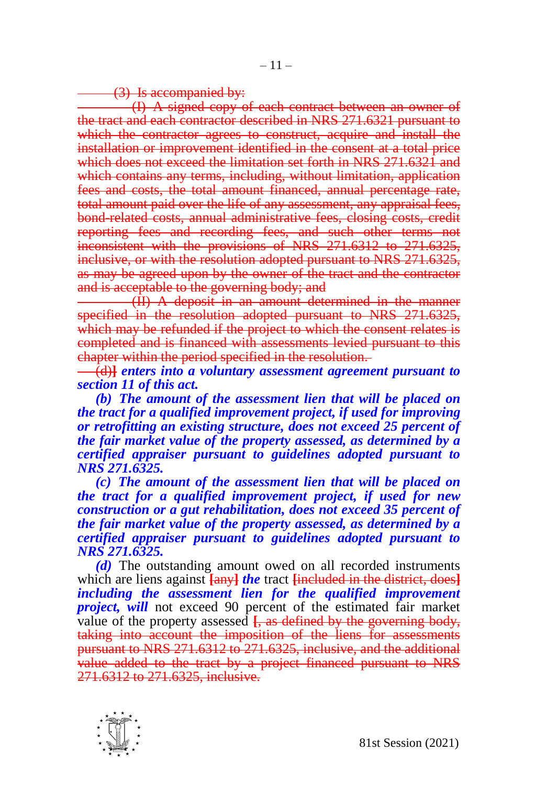(3) Is accompanied by:

(I) A signed copy of each contract between an owner of the tract and each contractor described in NRS 271.6321 pursuant to which the contractor agrees to construct, acquire and install the installation or improvement identified in the consent at a total price which does not exceed the limitation set forth in NRS 271.6321 and which contains any terms, including, without limitation, application fees and costs, the total amount financed, annual percentage rate, total amount paid over the life of any assessment, any appraisal fees, bond-related costs, annual administrative fees, closing costs, credit reporting fees and recording fees, and such other terms not inconsistent with the provisions of NRS 271.6312 to 271.6325, inclusive, or with the resolution adopted pursuant to NRS 271.6325, as may be agreed upon by the owner of the tract and the contractor and is acceptable to the governing body; and

(II) A deposit in an amount determined in the manner specified in the resolution adopted pursuant to NRS 271.6325, which may be refunded if the project to which the consent relates is completed and is financed with assessments levied pursuant to this chapter within the period specified in the resolution.

(d)**]** *enters into a voluntary assessment agreement pursuant to section 11 of this act.*

*(b) The amount of the assessment lien that will be placed on the tract for a qualified improvement project, if used for improving or retrofitting an existing structure, does not exceed 25 percent of the fair market value of the property assessed, as determined by a certified appraiser pursuant to guidelines adopted pursuant to NRS 271.6325.*

*(c) The amount of the assessment lien that will be placed on the tract for a qualified improvement project, if used for new construction or a gut rehabilitation, does not exceed 35 percent of the fair market value of the property assessed, as determined by a certified appraiser pursuant to guidelines adopted pursuant to NRS 271.6325.*

*(d)* The outstanding amount owed on all recorded instruments which are liens against **[**any**]** *the* tract **[**included in the district, does**]** *including the assessment lien for the qualified improvement project, will* not exceed 90 percent of the estimated fair market value of the property assessed  $\frac{1}{2}$ , as defined by the governing body, taking into account the imposition of the liens for assessments pursuant to NRS 271.6312 to 271.6325, inclusive, and the additional value added to the tract by a project financed pursuant to NRS 271.6312 to 271.6325, inclusive.

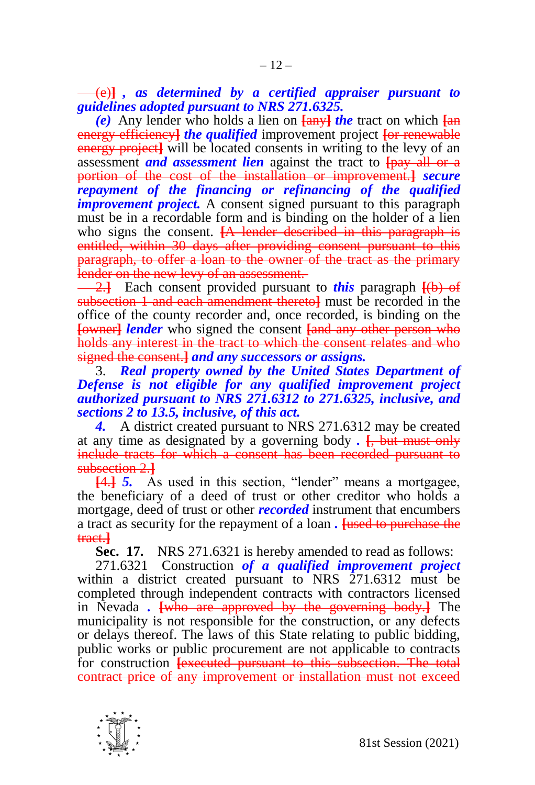(e)**]** *, as determined by a certified appraiser pursuant to guidelines adopted pursuant to NRS 271.6325.*

*(e)* Any lender who holds a lien on **[**any**]** *the* tract on which **[**an energy efficiency**]** *the qualified* improvement project **[**or renewable energy project**]** will be located consents in writing to the levy of an assessment *and assessment lien* against the tract to **[**pay all or a portion of the cost of the installation or improvement.**]** *secure repayment of the financing or refinancing of the qualified improvement project.* A consent signed pursuant to this paragraph must be in a recordable form and is binding on the holder of a lien who signs the consent. **[A lender described in this paragraph is** entitled, within 30 days after providing consent pursuant to this paragraph, to offer a loan to the owner of the tract as the primary lender on the new levy of an assessment.

2.**]** Each consent provided pursuant to *this* paragraph **[**(b) of subsection 1 and each amendment thereto**]** must be recorded in the office of the county recorder and, once recorded, is binding on the **[**owner**]** *lender* who signed the consent **[**and any other person who holds any interest in the tract to which the consent relates and who signed the consent.**]** *and any successors or assigns.*

3. *Real property owned by the United States Department of Defense is not eligible for any qualified improvement project authorized pursuant to NRS 271.6312 to 271.6325, inclusive, and sections 2 to 13.5, inclusive, of this act.*

*4.* A district created pursuant to NRS 271.6312 may be created at any time as designated by a governing body *.* **[**, but must only include tracts for which a consent has been recorded pursuant to subsection 2.**]**

**[**4.**]** *5.* As used in this section, "lender" means a mortgagee, the beneficiary of a deed of trust or other creditor who holds a mortgage, deed of trust or other *recorded* instrument that encumbers a tract as security for the repayment of a loan *.* **[**used to purchase the tract.**]**

**Sec. 17.** NRS 271.6321 is hereby amended to read as follows:

271.6321 Construction *of a qualified improvement project*  within a district created pursuant to NRS 271.6312 must be completed through independent contracts with contractors licensed in Nevada *.* **[**who are approved by the governing body.**]** The municipality is not responsible for the construction, or any defects or delays thereof. The laws of this State relating to public bidding, public works or public procurement are not applicable to contracts for construction **[executed pursuant to this subsection. The total** contract price of any improvement or installation must not exceed

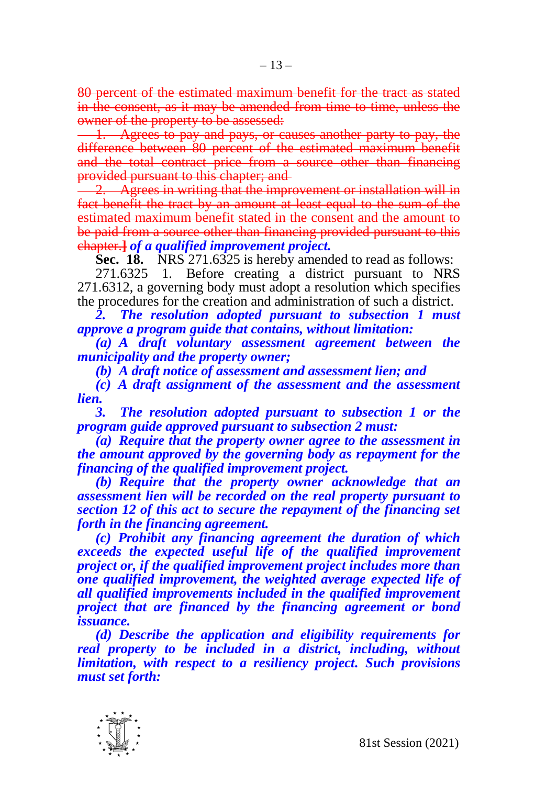80 percent of the estimated maximum benefit for the tract as stated in the consent, as it may be amended from time to time, unless the owner of the property to be assessed:

1. Agrees to pay and pays, or causes another party to pay, the difference between 80 percent of the estimated maximum benefit and the total contract price from a source other than financing provided pursuant to this chapter; and

2. Agrees in writing that the improvement or installation will in fact benefit the tract by an amount at least equal to the sum of the estimated maximum benefit stated in the consent and the amount to be paid from a source other than financing provided pursuant to this chapter.**]** *of a qualified improvement project.*

**Sec. 18.** NRS 271.6325 is hereby amended to read as follows:

271.6325 1. Before creating a district pursuant to NRS 271.6312, a governing body must adopt a resolution which specifies the procedures for the creation and administration of such a district.

*2. The resolution adopted pursuant to subsection 1 must approve a program guide that contains, without limitation:*

*(a) A draft voluntary assessment agreement between the municipality and the property owner;*

*(b) A draft notice of assessment and assessment lien; and*

*(c) A draft assignment of the assessment and the assessment lien.*

*3. The resolution adopted pursuant to subsection 1 or the program guide approved pursuant to subsection 2 must:*

*(a) Require that the property owner agree to the assessment in the amount approved by the governing body as repayment for the financing of the qualified improvement project.*

*(b) Require that the property owner acknowledge that an assessment lien will be recorded on the real property pursuant to section 12 of this act to secure the repayment of the financing set forth in the financing agreement.*

*(c) Prohibit any financing agreement the duration of which exceeds the expected useful life of the qualified improvement project or, if the qualified improvement project includes more than one qualified improvement, the weighted average expected life of all qualified improvements included in the qualified improvement project that are financed by the financing agreement or bond issuance.*

*(d) Describe the application and eligibility requirements for real property to be included in a district, including, without limitation, with respect to a resiliency project. Such provisions must set forth:*

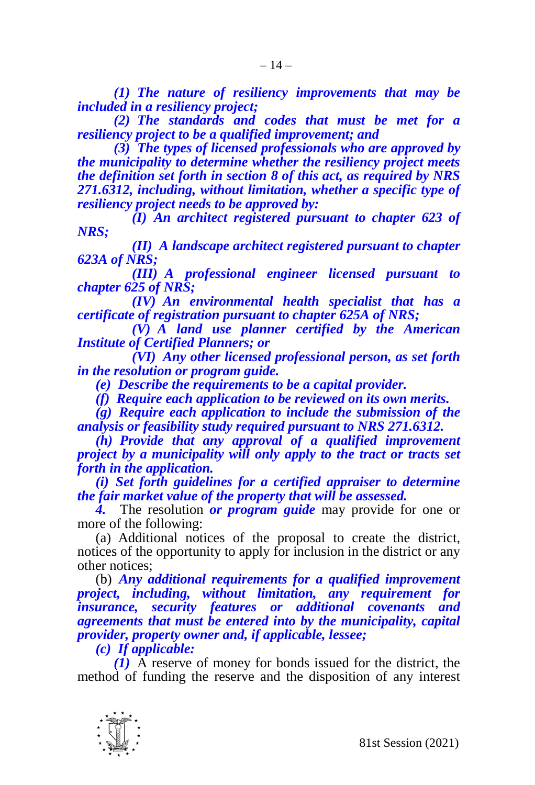*(1) The nature of resiliency improvements that may be included in a resiliency project;*

*(2) The standards and codes that must be met for a resiliency project to be a qualified improvement; and*

*(3) The types of licensed professionals who are approved by the municipality to determine whether the resiliency project meets the definition set forth in section 8 of this act, as required by NRS 271.6312, including, without limitation, whether a specific type of resiliency project needs to be approved by:*

*(I) An architect registered pursuant to chapter 623 of NRS;* 

*(II) A landscape architect registered pursuant to chapter 623A of NRS;* 

*(III) A professional engineer licensed pursuant to chapter 625 of NRS;*

*(IV) An environmental health specialist that has a certificate of registration pursuant to chapter 625A of NRS;*

*(V) A land use planner certified by the American Institute of Certified Planners; or*

*(VI) Any other licensed professional person, as set forth in the resolution or program guide.*

*(e) Describe the requirements to be a capital provider.*

*(f) Require each application to be reviewed on its own merits.*

*(g) Require each application to include the submission of the analysis or feasibility study required pursuant to NRS 271.6312.*

*(h) Provide that any approval of a qualified improvement project by a municipality will only apply to the tract or tracts set forth in the application.*

*(i) Set forth guidelines for a certified appraiser to determine the fair market value of the property that will be assessed.*

*4.* The resolution *or program guide* may provide for one or more of the following:

(a) Additional notices of the proposal to create the district, notices of the opportunity to apply for inclusion in the district or any other notices;

(b) *Any additional requirements for a qualified improvement project, including, without limitation, any requirement for insurance, security features or additional covenants and agreements that must be entered into by the municipality, capital provider, property owner and, if applicable, lessee;*

*(c) If applicable:*

*(1)* A reserve of money for bonds issued for the district, the method of funding the reserve and the disposition of any interest

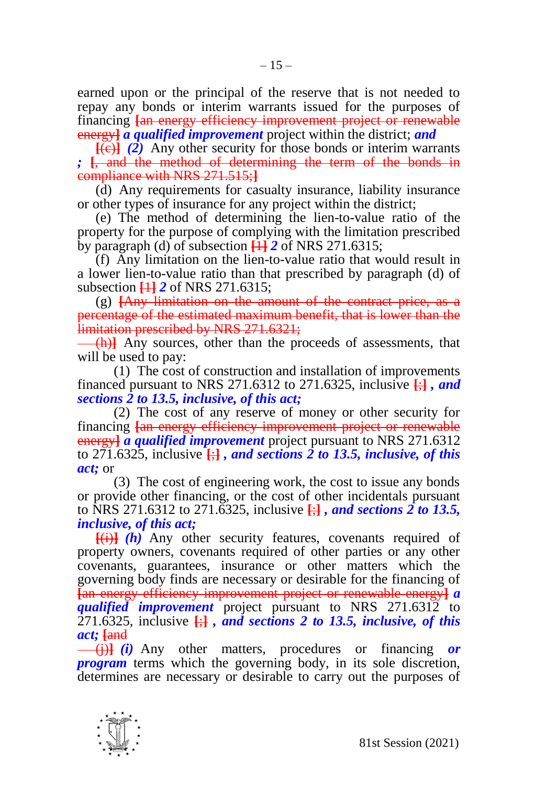earned upon or the principal of the reserve that is not needed to repay any bonds or interim warrants issued for the purposes of financing **[**an energy efficiency improvement project or renewable energy**]** *a qualified improvement* project within the district; *and*

**[**(c)**]** *(2)* Any other security for those bonds or interim warrants *;* **[**, and the method of determining the term of the bonds in compliance with NRS 271.515;**]**

(d) Any requirements for casualty insurance, liability insurance or other types of insurance for any project within the district;

(e) The method of determining the lien-to-value ratio of the property for the purpose of complying with the limitation prescribed by paragraph (d) of subsection  $\overline{11}$  **2** of NRS 271.6315;

(f) Any limitation on the lien-to-value ratio that would result in a lower lien-to-value ratio than that prescribed by paragraph (d) of subsection **[**1**]** *2* of NRS 271.6315;

(g) **[**Any limitation on the amount of the contract price, as a percentage of the estimated maximum benefit, that is lower than the limitation prescribed by NRS 271.6321;

(h)**]** Any sources, other than the proceeds of assessments, that will be used to pay:

(1) The cost of construction and installation of improvements financed pursuant to NRS 271.6312 to 271.6325, inclusive **[**;**]** *, and sections 2 to 13.5, inclusive, of this act;*

(2) The cost of any reserve of money or other security for financing **[**an energy efficiency improvement project or renewable energy**]** *a qualified improvement* project pursuant to NRS 271.6312 to 271.6325, inclusive  $\left\{\frac{1}{2}\right\}$ , and sections 2 to 13.5, inclusive, of this *act;* or

(3) The cost of engineering work, the cost to issue any bonds or provide other financing, or the cost of other incidentals pursuant to NRS 271.6312 to 271.6325, inclusive **[**;**]** *, and sections 2 to 13.5, inclusive, of this act;*

**[**(i)**]** *(h)* Any other security features, covenants required of property owners, covenants required of other parties or any other covenants, guarantees, insurance or other matters which the governing body finds are necessary or desirable for the financing of **[**an energy efficiency improvement project or renewable energy**]** *a qualified improvement* project pursuant to NRS 271.6312 to  $\overline{271.6325}$ , inclusive  $\frac{1}{2}$ , and sections 2 to 13.5, inclusive, of this *act;* **[**and

(j)**]** *(i)* Any other matters, procedures or financing *or program* terms which the governing body, in its sole discretion, determines are necessary or desirable to carry out the purposes of